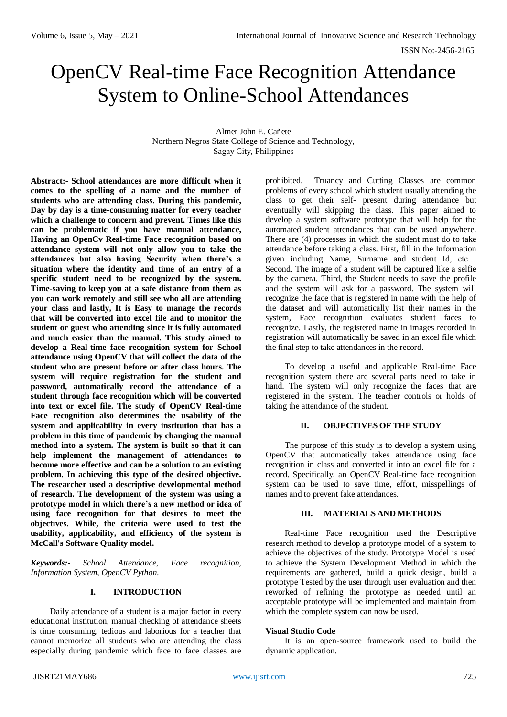# OpenCV Real-time Face Recognition Attendance System to Online-School Attendances

Almer John E. Cañete Northern Negros State College of Science and Technology, Sagay City, Philippines

**Abstract:- School attendances are more difficult when it comes to the spelling of a name and the number of students who are attending class. During this pandemic, Day by day is a time-consuming matter for every teacher which a challenge to concern and prevent. Times like this can be problematic if you have manual attendance, Having an OpenCv Real-time Face recognition based on attendance system will not only allow you to take the attendances but also having Security when there's a situation where the identity and time of an entry of a specific student need to be recognized by the system. Time-saving to keep you at a safe distance from them as you can work remotely and still see who all are attending your class and lastly, It is Easy to manage the records that will be converted into excel file and to monitor the student or guest who attending since it is fully automated and much easier than the manual. This study aimed to develop a Real-time face recognition system for School attendance using OpenCV that will collect the data of the student who are present before or after class hours. The system will require registration for the student and password, automatically record the attendance of a student through face recognition which will be converted into text or excel file. The study of OpenCV Real-time Face recognition also determines the usability of the system and applicability in every institution that has a problem in this time of pandemic by changing the manual method into a system. The system is built so that it can help implement the management of attendances to become more effective and can be a solution to an existing problem. In achieving this type of the desired objective. The researcher used a descriptive developmental method of research. The development of the system was using a prototype model in which there's a new method or idea of using face recognition for that desires to meet the objectives. While, the criteria were used to test the usability, applicability, and efficiency of the system is McCall's Software Quality model.**

*Keywords:- School Attendance, Face recognition, Information System, OpenCV Python.*

# **I. INTRODUCTION**

Daily attendance of a student is a major factor in every educational institution, manual checking of attendance sheets is time consuming, tedious and laborious for a teacher that cannot memorize all students who are attending the class especially during pandemic which face to face classes are prohibited. Truancy and Cutting Classes are common problems of every school which student usually attending the class to get their self- present during attendance but eventually will skipping the class. This paper aimed to develop a system software prototype that will help for the automated student attendances that can be used anywhere. There are (4) processes in which the student must do to take attendance before taking a class. First, fill in the Information given including Name, Surname and student Id, etc… Second, The image of a student will be captured like a selfie by the camera. Third, the Student needs to save the profile and the system will ask for a password. The system will recognize the face that is registered in name with the help of the dataset and will automatically list their names in the system, Face recognition evaluates student faces to recognize. Lastly, the registered name in images recorded in registration will automatically be saved in an excel file which the final step to take attendances in the record.

To develop a useful and applicable Real-time Face recognition system there are several parts need to take in hand. The system will only recognize the faces that are registered in the system. The teacher controls or holds of taking the attendance of the student.

## **II. OBJECTIVES OF THE STUDY**

The purpose of this study is to develop a system using OpenCV that automatically takes attendance using face recognition in class and converted it into an excel file for a record. Specifically, an OpenCV Real-time face recognition system can be used to save time, effort, misspellings of names and to prevent fake attendances.

## **III. MATERIALS AND METHODS**

Real-time Face recognition used the Descriptive research method to develop a prototype model of a system to achieve the objectives of the study. Prototype Model is used to achieve the System Development Method in which the requirements are gathered, build a quick design, build a prototype Tested by the user through user evaluation and then reworked of refining the prototype as needed until an acceptable prototype will be implemented and maintain from which the complete system can now be used.

#### **Visual Studio Code**

It is an open-source framework used to build the dynamic application.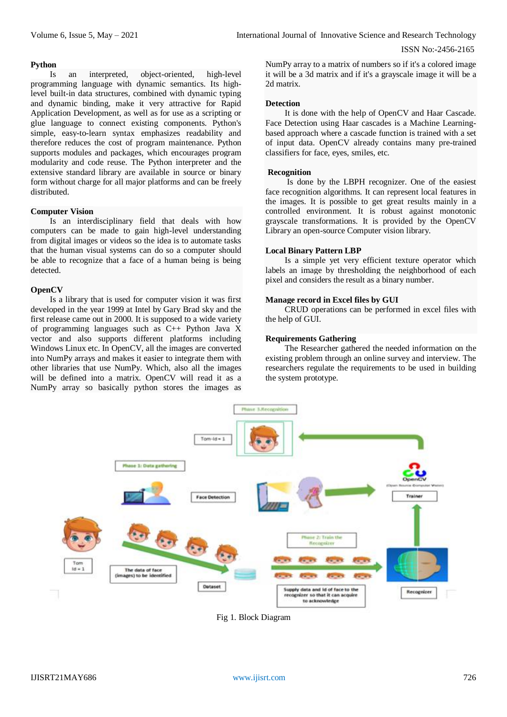#### ISSN No:-2456-2165

# **Python**

Is an interpreted, object-oriented, high-level programming language with dynamic semantics. Its highlevel built-in data structures, combined with dynamic typing and dynamic binding, make it very attractive for Rapid Application Development, as well as for use as a scripting or glue language to connect existing components. Python's simple, easy-to-learn syntax emphasizes readability and therefore reduces the cost of program maintenance. Python supports modules and packages, which encourages program modularity and code reuse. The Python interpreter and the extensive standard library are available in source or binary form without charge for all major platforms and can be freely distributed.

#### **Computer Vision**

Is an interdisciplinary field that deals with how computers can be made to gain high-level understanding from digital images or videos so the idea is to automate tasks that the human visual systems can do so a computer should be able to recognize that a face of a human being is being detected.

## **OpenCV**

Is a library that is used for computer vision it was first developed in the year 1999 at Intel by Gary Brad sky and the first release came out in 2000. It is supposed to a wide variety of programming languages such as C++ Python Java X vector and also supports different platforms including Windows Linux etc. In OpenCV, all the images are converted into NumPy arrays and makes it easier to integrate them with other libraries that use NumPy. Which, also all the images will be defined into a matrix. OpenCV will read it as a NumPy array so basically python stores the images as

NumPy array to a matrix of numbers so if it's a colored image it will be a 3d matrix and if it's a grayscale image it will be a 2d matrix.

#### **Detection**

It is done with the help of OpenCV and Haar Cascade. Face Detection using Haar cascades is a Machine Learningbased approach where a cascade function is trained with a set of input data. OpenCV already contains many pre-trained classifiers for face, eyes, smiles, etc.

#### **Recognition**

Is done by the LBPH recognizer. One of the easiest face recognition algorithms. It can represent local features in the images. It is possible to get great results mainly in a controlled environment. It is robust against monotonic grayscale transformations. It is provided by the OpenCV Library an open-source Computer vision library.

#### **Local Binary Pattern LBP**

Is a simple yet very efficient texture operator which labels an image by thresholding the neighborhood of each pixel and considers the result as a binary number.

#### **Manage record in Excel files by GUI**

CRUD operations can be performed in excel files with the help of GUI.

#### **Requirements Gathering**

The Researcher gathered the needed information on the existing problem through an online survey and interview. The researchers regulate the requirements to be used in building the system prototype.



Fig 1. Block Diagram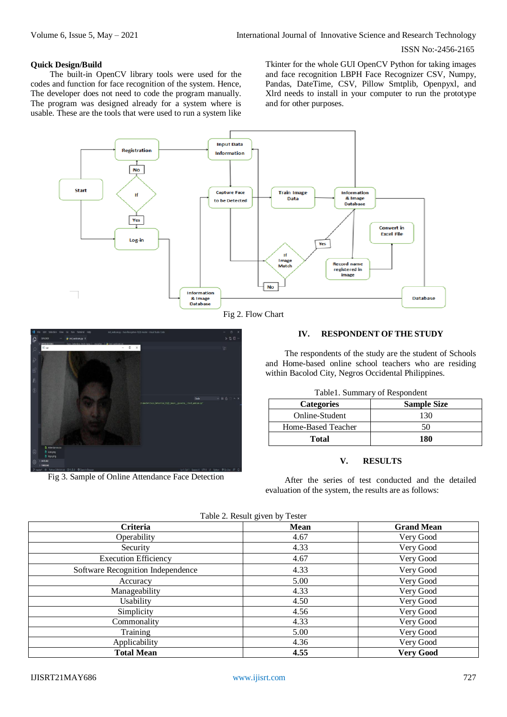# ISSN No:-2456-2165

## **Quick Design/Build**

The built-in OpenCV library tools were used for the codes and function for face recognition of the system. Hence, The developer does not need to code the program manually. The program was designed already for a system where is usable. These are the tools that were used to run a system like

Tkinter for the whole GUI OpenCV Python for taking images and face recognition LBPH Face Recognizer CSV, Numpy, Pandas, DateTime, CSV, Pillow Smtplib, Openpyxl, and Xlrd needs to install in your computer to run the prototype and for other purposes.







Fig 3. Sample of Online Attendance Face Detection

## **IV. RESPONDENT OF THE STUDY**

The respondents of the study are the student of Schools and Home-based online school teachers who are residing within Bacolod City, Negros Occidental Philippines.

|  |  | Table1. Summary of Respondent |
|--|--|-------------------------------|
|--|--|-------------------------------|

| <b>Categories</b>  | <b>Sample Size</b> |  |
|--------------------|--------------------|--|
| Online-Student     | 130                |  |
| Home-Based Teacher | 50                 |  |
| <b>Total</b>       | 180                |  |

# **V. RESULTS**

After the series of test conducted and the detailed evaluation of the system, the results are as follows:

| Criteria                          | Mean | <b>Grand Mean</b> |
|-----------------------------------|------|-------------------|
| Operability                       | 4.67 | Very Good         |
| Security                          | 4.33 | Very Good         |
| <b>Execution Efficiency</b>       | 4.67 | Very Good         |
| Software Recognition Independence | 4.33 | Very Good         |
| Accuracy                          | 5.00 | Very Good         |
| Manageability                     | 4.33 | Very Good         |
| Usability                         | 4.50 | Very Good         |
| Simplicity                        | 4.56 | Very Good         |
| Commonality                       | 4.33 | Very Good         |
| Training                          | 5.00 | Very Good         |
| Applicability                     | 4.36 | Very Good         |
| <b>Total Mean</b>                 | 4.55 | <b>Very Good</b>  |